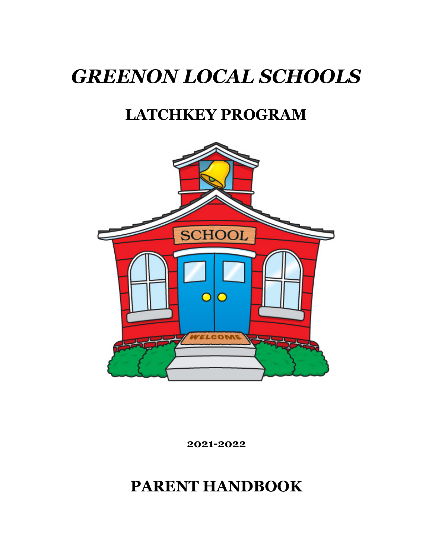# *GREENON LOCAL SCHOOLS*

# **LATCHKEY PROGRAM**



**2021-2022**

**PARENT HANDBOOK**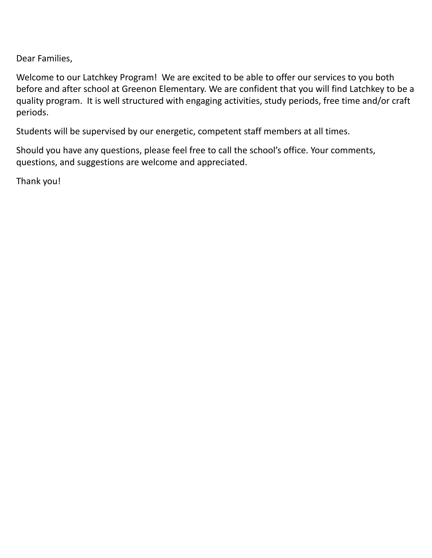Dear Families,

Welcome to our Latchkey Program! We are excited to be able to offer our services to you both before and after school at Greenon Elementary. We are confident that you will find Latchkey to be a quality program. It is well structured with engaging activities, study periods, free time and/or craft periods.

Students will be supervised by our energetic, competent staff members at all times.

Should you have any questions, please feel free to call the school's office. Your comments, questions, and suggestions are welcome and appreciated.

Thank you!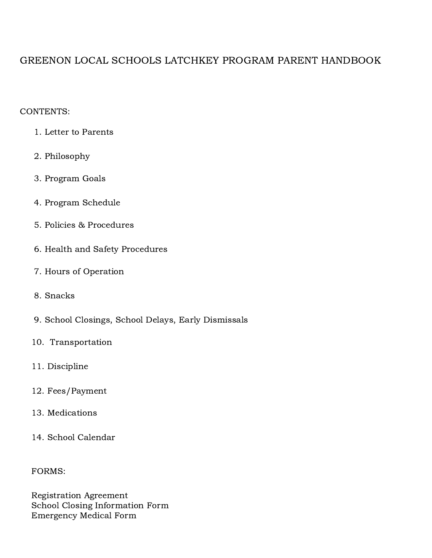# GREENON LOCAL SCHOOLS LATCHKEY PROGRAM PARENT HANDBOOK

#### CONTENTS:

- 1. Letter to Parents
- 2. Philosophy
- 3. Program Goals
- 4. Program Schedule
- 5. Policies & Procedures
- 6. Health and Safety Procedures
- 7. Hours of Operation
- 8. Snacks
- 9. School Closings, School Delays, Early Dismissals
- 10. Transportation
- 11. Discipline
- 12. Fees/Payment
- 13. Medications
- 14. School Calendar

FORMS:

Registration Agreement School Closing Information Form Emergency Medical Form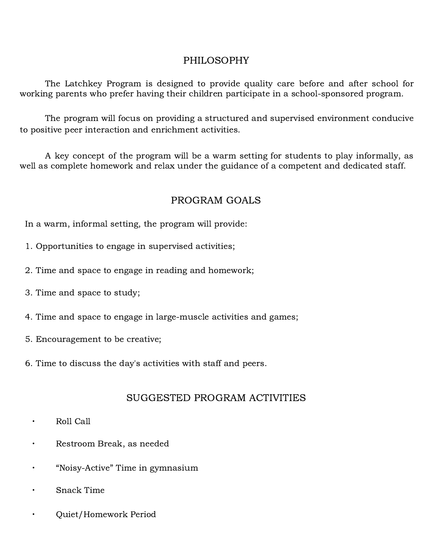# PHILOSOPHY

The Latchkey Program is designed to provide quality care before and after school for working parents who prefer having their children participate in a school-sponsored program.

The program will focus on providing a structured and supervised environment conducive to positive peer interaction and enrichment activities.

A key concept of the program will be a warm setting for students to play informally, as well as complete homework and relax under the guidance of a competent and dedicated staff.

# PROGRAM GOALS

In a warm, informal setting, the program will provide:

- 1. Opportunities to engage in supervised activities;
- 2. Time and space to engage in reading and homework;
- 3. Time and space to study;
- 4. Time and space to engage in large-muscle activities and games;
- 5. Encouragement to be creative;
- 6. Time to discuss the day's activities with staff and peers.

# SUGGESTED PROGRAM ACTIVITIES

- ∙ Roll Call
- ∙ Restroom Break, as needed
- ∙ "Noisy-Active" Time in gymnasium
- ∙ Snack Time
- ∙ Quiet/Homework Period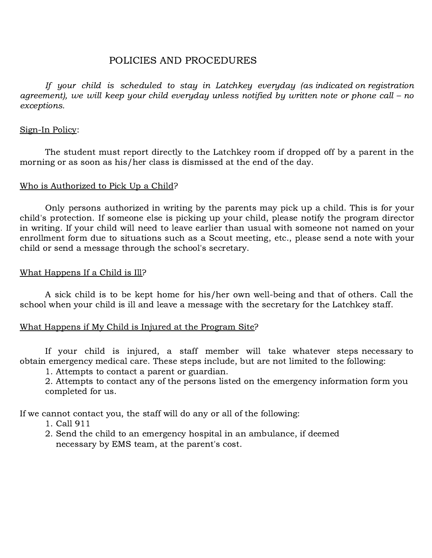#### POLICIES AND PROCEDURES

If your child is scheduled to stay in Latchkey everyday (as indicated on registration agreement), we will keep your child everyday unless notified by written note or phone call – no exceptions.

#### Sign-In Policy:

The student must report directly to the Latchkey room if dropped off by a parent in the morning or as soon as his/her class is dismissed at the end of the day.

#### Who is Authorized to Pick Up a Child?

Only persons authorized in writing by the parents may pick up a child. This is for your child's protection. If someone else is picking up your child, please notify the program director in writing. If your child will need to leave earlier than usual with someone not named on your enrollment form due to situations such as a Scout meeting, etc., please send a note with your child or send a message through the school's secretary.

#### What Happens If a Child is Ill?

A sick child is to be kept home for his/her own well-being and that of others. Call the school when your child is ill and leave a message with the secretary for the Latchkey staff.

#### What Happens if My Child is Injured at the Program Site?

If your child is injured, a staff member will take whatever steps necessary to obtain emergency medical care. These steps include, but are not limited to the following:

1. Attempts to contact a parent or guardian.

2. Attempts to contact any of the persons listed on the emergency information form you completed for us.

If we cannot contact you, the staff will do any or all of the following:

- 1. Call 911
- 2. Send the child to an emergency hospital in an ambulance, if deemed necessary by EMS team, at the parent's cost.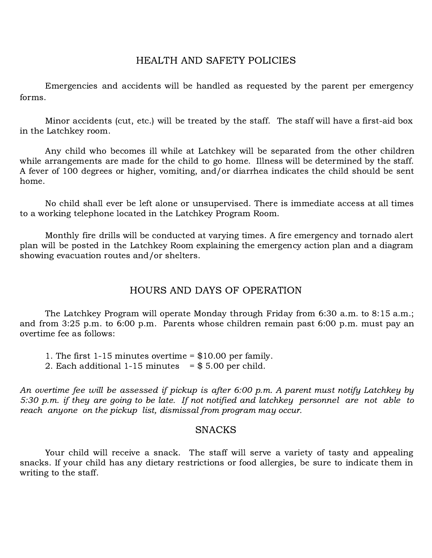#### HEALTH AND SAFETY POLICIES

Emergencies and accidents will be handled as requested by the parent per emergency forms.

Minor accidents (cut, etc.) will be treated by the staff. The staff will have a first-aid box in the Latchkey room.

Any child who becomes ill while at Latchkey will be separated from the other children while arrangements are made for the child to go home. Illness will be determined by the staff. A fever of 100 degrees or higher, vomiting, and/or diarrhea indicates the child should be sent home.

No child shall ever be left alone or unsupervised. There is immediate access at all times to a working telephone located in the Latchkey Program Room.

Monthly fire drills will be conducted at varying times. A fire emergency and tornado alert plan will be posted in the Latchkey Room explaining the emergency action plan and a diagram showing evacuation routes and/or shelters.

#### HOURS AND DAYS OF OPERATION

The Latchkey Program will operate Monday through Friday from 6:30 a.m. to 8:15 a.m.; and from 3:25 p.m. to 6:00 p.m. Parents whose children remain past 6:00 p.m. must pay an overtime fee as follows:

- 1. The first 1-15 minutes overtime = \$10.00 per family.
- 2. Each additional 1-15 minutes =  $$ 5.00$  per child.

An overtime fee will be assessed if pickup is after 6:00 p.m. A parent must notify Latchkey by 5:30 p.m. if they are going to be late. If not notified and latchkey personnel are not able to reach anyone on the pickup list, dismissal from program may occur.

#### **SNACKS**

Your child will receive a snack. The staff will serve a variety of tasty and appealing snacks. If your child has any dietary restrictions or food allergies, be sure to indicate them in writing to the staff.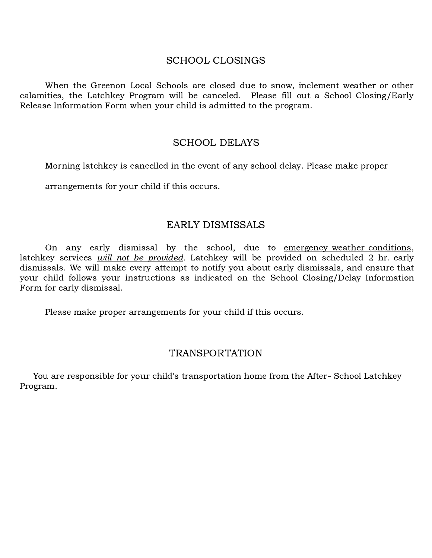#### SCHOOL CLOSINGS

When the Greenon Local Schools are closed due to snow, inclement weather or other calamities, the Latchkey Program will be canceled. Please fill out a School Closing/Early Release Information Form when your child is admitted to the program.

#### SCHOOL DELAYS

Morning latchkey is cancelled in the event of any school delay. Please make proper

arrangements for your child if this occurs.

#### EARLY DISMISSALS

On any early dismissal by the school, due to emergency weather conditions, latchkey services *will not be provided*. Latchkey will be provided on scheduled 2 hr. early dismissals. We will make every attempt to notify you about early dismissals, and ensure that your child follows your instructions as indicated on the School Closing/Delay Information Form for early dismissal.

Please make proper arrangements for your child if this occurs.

#### TRANSPORTATION

You are responsible for your child's transportation home from the After- School Latchkey Program.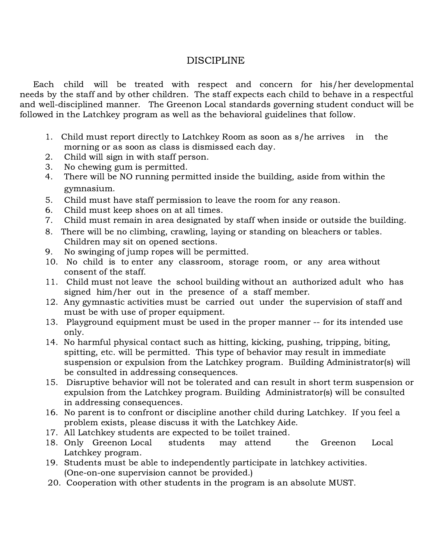## DISCIPLINE

Each child will be treated with respect and concern for his/her developmental needs by the staff and by other children. The staff expects each child to behave in a respectful and well-disciplined manner. The Greenon Local standards governing student conduct will be followed in the Latchkey program as well as the behavioral guidelines that follow.

- 1. Child must report directly to Latchkey Room as soon as s/he arrives in the morning or as soon as class is dismissed each day.
- 2. Child will sign in with staff person.
- 3. No chewing gum is permitted.
- 4. There will be NO running permitted inside the building, aside from within the gymnasium.
- 5. Child must have staff permission to leave the room for any reason.
- 6. Child must keep shoes on at all times.
- 7. Child must remain in area designated by staff when inside or outside the building.
- 8. There will be no climbing, crawling, laying or standing on bleachers or tables. Children may sit on opened sections.
- 9. No swinging of jump ropes will be permitted.
- 10. No child is to enter any classroom, storage room, or any area without consent of the staff.
- 11. Child must not leave the school building without an authorized adult who has signed him/her out in the presence of a staff member.
- 12. Any gymnastic activities must be carried out under the supervision of staff and must be with use of proper equipment.
- 13. Playground equipment must be used in the proper manner -- for its intended use only.
- 14. No harmful physical contact such as hitting, kicking, pushing, tripping, biting, spitting, etc. will be permitted. This type of behavior may result in immediate suspension or expulsion from the Latchkey program. Building Administrator(s) will be consulted in addressing consequences.
- 15. Disruptive behavior will not be tolerated and can result in short term suspension or expulsion from the Latchkey program. Building Administrator(s) will be consulted in addressing consequences.
- 16. No parent is to confront or discipline another child during Latchkey. If you feel a problem exists, please discuss it with the Latchkey Aide.
- 17. All Latchkey students are expected to be toilet trained.
- 18. Only Greenon Local students may attend the Greenon Local Latchkey program.
- 19. Students must be able to independently participate in latchkey activities. (One-on-one supervision cannot be provided.)
- 20. Cooperation with other students in the program is an absolute MUST.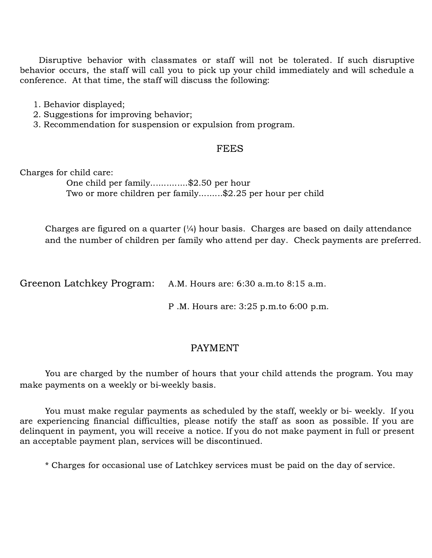Disruptive behavior with classmates or staff will not be tolerated. If such disruptive behavior occurs, the staff will call you to pick up your child immediately and will schedule a conference. At that time, the staff will discuss the following:

- 1. Behavior displayed;
- 2. Suggestions for improving behavior;
- 3. Recommendation for suspension or expulsion from program.

#### **FEES**

Charges for child care:

One child per family..............\$2.50 per hour Two or more children per family.........\$2.25 per hour per child

Charges are figured on a quarter  $\frac{1}{4}$  hour basis. Charges are based on daily attendance and the number of children per family who attend per day. Check payments are preferred.

Greenon Latchkey Program: A.M. Hours are: 6:30 a.m.to 8:15 a.m.

P .M. Hours are: 3:25 p.m.to 6:00 p.m.

#### PAYMENT

You are charged by the number of hours that your child attends the program. You may make payments on a weekly or bi-weekly basis.

You must make regular payments as scheduled by the staff, weekly or bi- weekly. If you are experiencing financial difficulties, please notify the staff as soon as possible. If you are delinquent in payment, you will receive a notice. If you do not make payment in full or present an acceptable payment plan, services will be discontinued.

\* Charges for occasional use of Latchkey services must be paid on the day of service.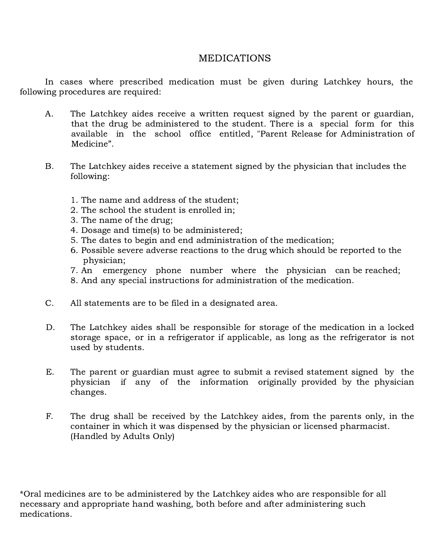# MEDICATIONS

In cases where prescribed medication must be given during Latchkey hours, the following procedures are required:

- A. The Latchkey aides receive a written request signed by the parent or guardian, that the drug be administered to the student. There is a special form for this available in the school office entitled, "Parent Release for Administration of Medicine".
- B. The Latchkey aides receive a statement signed by the physician that includes the following:
	- 1. The name and address of the student;
	- 2. The school the student is enrolled in;
	- 3. The name of the drug;
	- 4. Dosage and time(s) to be administered;
	- 5. The dates to begin and end administration of the medication;
	- 6. Possible severe adverse reactions to the drug which should be reported to the physician;
	- 7. An emergency phone number where the physician can be reached;
	- 8. And any special instructions for administration of the medication.
- C. All statements are to be filed in a designated area.
- D. The Latchkey aides shall be responsible for storage of the medication in a locked storage space, or in a refrigerator if applicable, as long as the refrigerator is not used by students.
- E. The parent or guardian must agree to submit a revised statement signed by the physician if any of the information originally provided by the physician changes.
- F. The drug shall be received by the Latchkey aides, from the parents only, in the container in which it was dispensed by the physician or licensed pharmacist. (Handled by Adults Only)

\*Oral medicines are to be administered by the Latchkey aides who are responsible for all necessary and appropriate hand washing, both before and after administering such medications.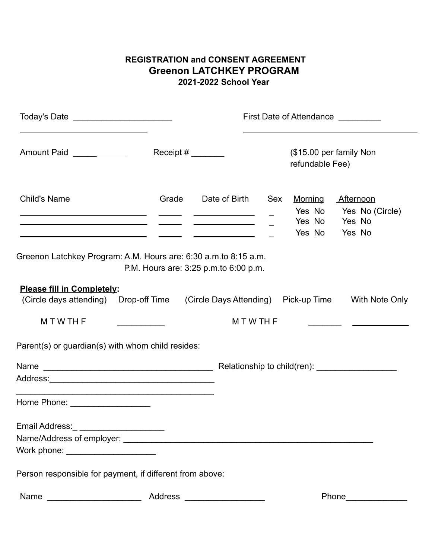### **REGISTRATION and CONSENT AGREEMENT Greenon LATCHKEY PROGRAM 2021-2022 School Year**

|                                                                                                                                                                                                                                                                                                                                                       |                                       |               |                                                                                                                                         | First Date of Attendance _________ |                                                                       |  |
|-------------------------------------------------------------------------------------------------------------------------------------------------------------------------------------------------------------------------------------------------------------------------------------------------------------------------------------------------------|---------------------------------------|---------------|-----------------------------------------------------------------------------------------------------------------------------------------|------------------------------------|-----------------------------------------------------------------------|--|
| Amount Paid <b>Amount</b> Paid <b>Amount</b> Raid <b>Amount</b> Raid <b>Amount</b> Raid <b>Amount</b> Raid <b>Amount</b> Raid <b>Amount</b> Raid <b>Amount</b> Raid <b>Amount</b> Raid <b>Amount</b> Raid <b>Amount</b> Raid <b>Amount</b> Raid <b>Amount</b> Raid <b>Amount</b> Raid <b>Amount</b> Raid                                              | Receipt # $\_\_\_\_\_\_\_\_\_\_\_\_$  |               | (\$15.00 per family Non<br>refundable Fee)                                                                                              |                                    |                                                                       |  |
| <b>Child's Name</b><br><u> 1989 - Jan James James James (f. 1989)</u><br><u> 1989 - Jan James James (f. 1989)</u>                                                                                                                                                                                                                                     | Grade                                 | Date of Birth | Sex                                                                                                                                     | <u>Morning</u><br>Yes No           | <b>Afternoon</b><br>Yes No Yes No (Circle)<br>Yes No Yes No<br>Yes No |  |
| Greenon Latchkey Program: A.M. Hours are: 6:30 a.m.to 8:15 a.m.                                                                                                                                                                                                                                                                                       | P.M. Hours are: 3:25 p.m.to 6:00 p.m. |               |                                                                                                                                         |                                    |                                                                       |  |
| <b>Please fill in Completely:</b><br>(Circle days attending) Drop-off Time (Circle Days Attending) Pick-up Time With Note Only                                                                                                                                                                                                                        |                                       |               |                                                                                                                                         |                                    |                                                                       |  |
| <b>MTWTHF</b>                                                                                                                                                                                                                                                                                                                                         |                                       |               | <b>MTWTHF</b><br><u> 1989 - John Harry Barn, mars and de la partie de la partie de la partie de la partie de la partie de la partie</u> |                                    |                                                                       |  |
| Parent(s) or guardian(s) with whom child resides:                                                                                                                                                                                                                                                                                                     |                                       |               |                                                                                                                                         |                                    |                                                                       |  |
|                                                                                                                                                                                                                                                                                                                                                       |                                       |               |                                                                                                                                         |                                    |                                                                       |  |
|                                                                                                                                                                                                                                                                                                                                                       |                                       |               |                                                                                                                                         |                                    |                                                                       |  |
| <u> 1980 - Johann Barbara, martxa alemaniar argumento de la contrada de la contrada de la contrada de la contrad</u><br>Home Phone: Network and Separate Separate Separate Separate Separate Separate Separate Separate Separate Separate Separate Separate Separate Separate Separate Separate Separate Separate Separate Separate Separate Separate |                                       |               |                                                                                                                                         |                                    |                                                                       |  |
| Email Address:                                                                                                                                                                                                                                                                                                                                        |                                       |               |                                                                                                                                         |                                    |                                                                       |  |
|                                                                                                                                                                                                                                                                                                                                                       |                                       |               |                                                                                                                                         |                                    |                                                                       |  |
| Work phone: <u>with the second second</u> with the second second second second second second second second second second second second second second second second second second second second second second second second second s                                                                                                                   |                                       |               |                                                                                                                                         |                                    |                                                                       |  |
| Person responsible for payment, if different from above:                                                                                                                                                                                                                                                                                              |                                       |               |                                                                                                                                         |                                    |                                                                       |  |
| Name                                                                                                                                                                                                                                                                                                                                                  | <b>Address</b>                        |               |                                                                                                                                         |                                    | Phone                                                                 |  |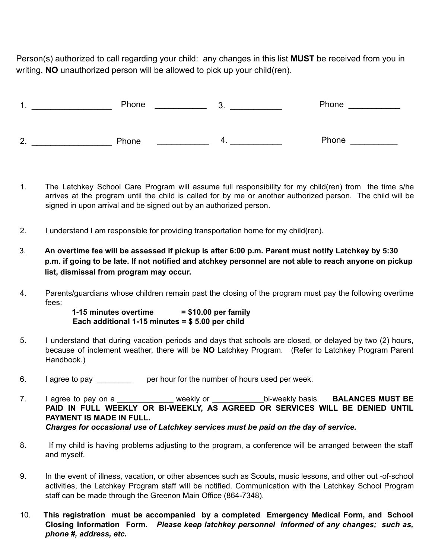Person(s) authorized to call regarding your child: any changes in this list **MUST** be received from you in writing. **NO** unauthorized person will be allowed to pick up your child(ren).

| ◢<br>. . | Phone | v. | Phone |
|----------|-------|----|-------|
|          |       |    |       |
| 2.       | Phone | _  | Phone |

- 1. The Latchkey School Care Program will assume full responsibility for my child(ren) from the time s/he arrives at the program until the child is called for by me or another authorized person. The child will be signed in upon arrival and be signed out by an authorized person.
- 2. I understand I am responsible for providing transportation home for my child(ren).
- 3. An overtime fee will be assessed if pickup is after 6:00 p.m. Parent must notify Latchkey by 5:30 p.m. if going to be late. If not notified and atchkey personnel are not able to reach anyone on pickup **list, dismissal from program may occur.**
- 4. Parents/guardians whose children remain past the closing of the program must pay the following overtime fees:

**1-15 minutes overtime = \$10.00 per family Each additional 1-15 minutes = \$ 5.00 per child**

- 5. I understand that during vacation periods and days that schools are closed, or delayed by two (2) hours, because of inclement weather, there will be **NO** Latchkey Program. (Refer to Latchkey Program Parent Handbook.)
- 6. I agree to pay \_\_\_\_\_\_\_\_\_ per hour for the number of hours used per week.
- 7. I agree to pay on a \_\_\_\_\_\_\_\_\_\_\_\_\_ weekly or \_\_\_\_\_\_\_\_\_\_\_\_bi-weekly basis. **BALANCES MUST BE PAID IN FULL WEEKLY OR BI-WEEKLY, AS AGREED OR SERVICES WILL BE DENIED UNTIL PAYMENT IS MADE IN FULL.** *Charges for occasional use of Latchkey services must be paid on the day of service.*
- 8. If my child is having problems adjusting to the program, a conference will be arranged between the staff and myself.
- 9. In the event of illness, vacation, or other absences such as Scouts, music lessons, and other out -of-school activities, the Latchkey Program staff will be notified. Communication with the Latchkey School Program staff can be made through the Greenon Main Office (864-7348).
- 10. **This registration must be accompanied by a completed Emergency Medical Form, and School Closing Information Form.** *Please keep latchkey personnel informed of any changes; such as, phone #, address, etc.*